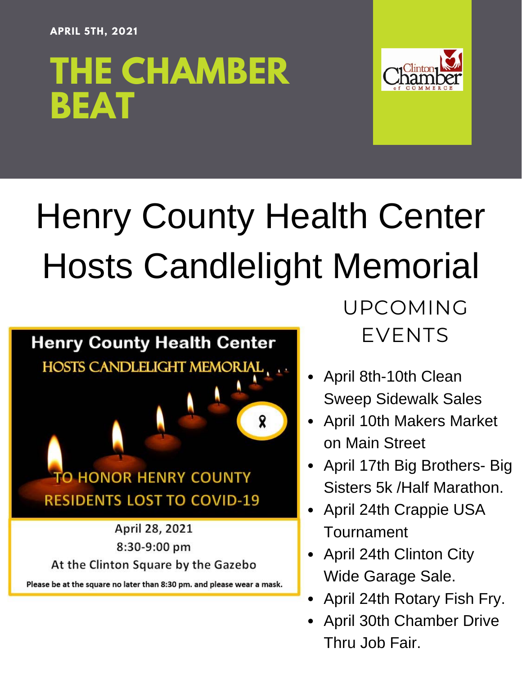#### **APRIL 5TH, 2021**

# **THE CHAMBER BEAT**



# Henry County Health Center Hosts Candlelight Memorial



Please be at the square no later than 8:30 pm. and please wear a mask.

UPCOMING EVENTS

- April 8th-10th Clean Sweep Sidewalk Sales
- April 10th Makers Market on Main Street
- April 17th Big Brothers- Big Sisters 5k /Half Marathon.
- April 24th Crappie USA Tournament
- April 24th Clinton City Wide Garage Sale.
- April 24th Rotary Fish Fry.
- April 30th Chamber Drive Thru Job Fair.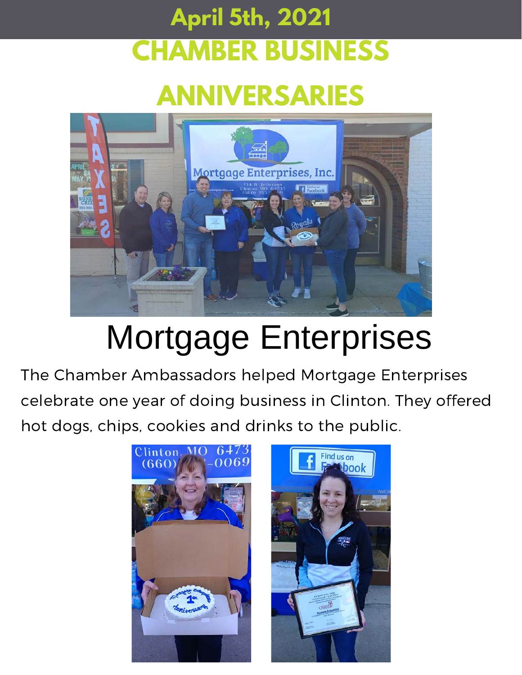## **CHAMBER BUSINESS April 5th, 2021**

## **ANNIVERSARIES**



# Mortgage Enterprises

The Chamber Ambassadors helped Mortgage Enterprises celebrate one year of doing business in Clinton. They offered hot dogs, chips, cookies and drinks to the public.

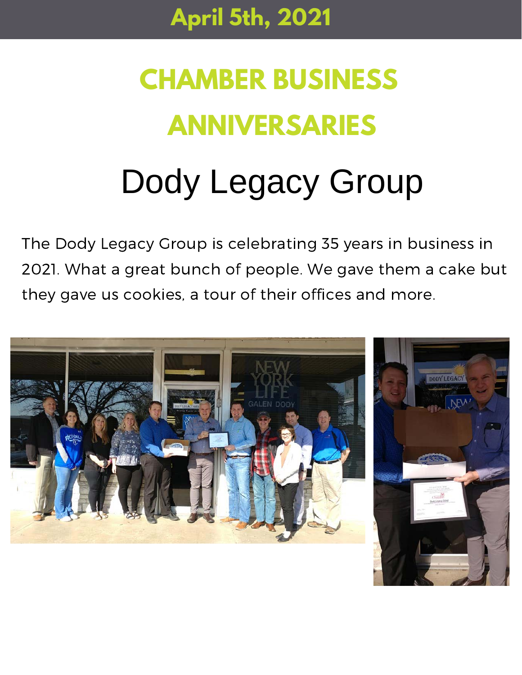# **CHAMBER BUSINESS ANNIVERSARIES**

# Dody Legacy Group

The Dody Legacy Group is celebrating 35 years in business in 2021. What a great bunch of people. We gave them a cake but they gave us cookies, a tour of their offices and more.

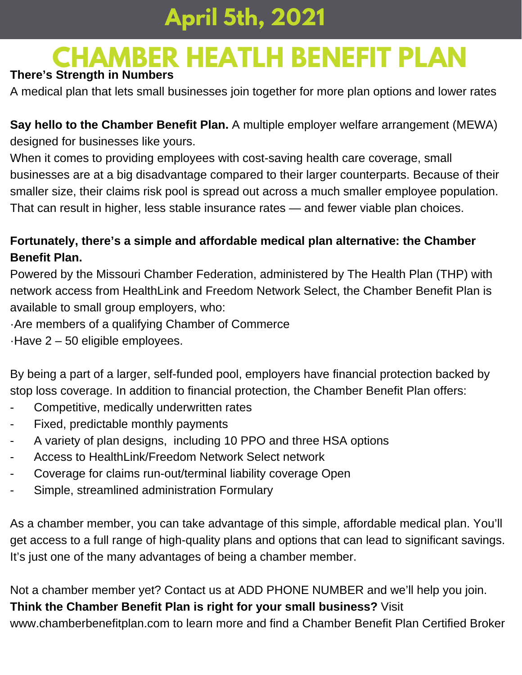## **CHAMBER HEATLH BENEFIT PLAN**

#### **There's Strength in Numbers**

A medical plan that lets small businesses join together for more plan options and lower rates

**Say hello to the Chamber Benefit Plan.** A multiple employer welfare arrangement (MEWA) designed for businesses like yours.

When it comes to providing employees with cost-saving health care coverage, small businesses are at a big disadvantage compared to their larger counterparts. Because of their smaller size, their claims risk pool is spread out across a much smaller employee population. That can result in higher, less stable insurance rates — and fewer viable plan choices.

#### **Fortunately, there's a simple and affordable medical plan alternative: the Chamber Benefit Plan.**

Powered by the Missouri Chamber Federation, administered by The Health Plan (THP) with network access from HealthLink and Freedom Network Select, the Chamber Benefit Plan is available to small group employers, who:

·Are members of a qualifying Chamber of Commerce

·Have 2 – 50 eligible employees.

By being a part of a larger, self-funded pool, employers have financial protection backed by stop loss coverage. In addition to financial protection, the Chamber Benefit Plan offers:

- Competitive, medically underwritten rates
- Fixed, predictable monthly payments
- A variety of plan designs, including 10 PPO and three HSA options
- Access to HealthLink/Freedom Network Select network
- Coverage for claims run-out/terminal liability coverage Open
- Simple, streamlined administration Formulary

As a chamber member, you can take advantage of this simple, affordable medical plan. You'll get access to a full range of high-quality plans and options that can lead to significant savings. It's just one of the many advantages of being a chamber member.

Not a chamber member yet? Contact us at ADD PHONE NUMBER and we'll help you join. **Think the Chamber Benefit Plan is right for your small business?** Visit [www.chamberbenefitplan.com](http://www.chamberbenefitplan.com/) to learn more and find a Chamber Benefit Plan Certified Broker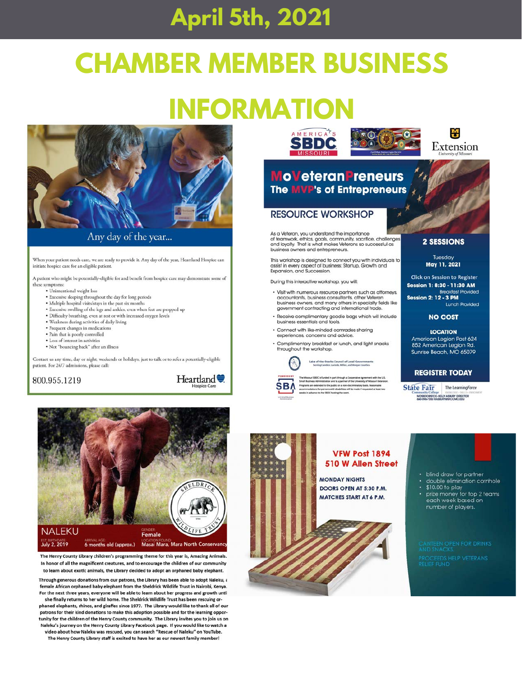## **CHAMBER MEMBER BUSINESS**

### **INFORMATION**



Any day of the year...

When your patient needs care, we are ready to provide it. Any day of the year, Heartland Hospice can initiate hospice care for an eligible patient.

A patient who might be potentially-eligible for and benefit from hospice care may demonstrate some of these symptoms:

- · Unintentional weight loss
- · Excessive sleeping throughout the day for long periods
- 
- Multiple hospital visits/stays in the past six months<br>• Excessive swelling of the legs and ankles, even when feet are propped up
- · Difficulty breathing, even at rest or with increased oxygen levels
- · Weakness during activities of daily living
- · Frequent changes in medication
- · Pain that is poorly controlled · Loss of interest in activities
- · Not "bouncing back" after an illness

Contact us any time, day or night, weekends or holidays, just to talk or to refer a potentially-eligible patient. For 24/7 admissions, please call:







The Henry County Library children's programming theme for this year is, Amazing Animals. In honor of all the magnificent creatures, and to encourage the children of our community to learn about exotic animals, the Library decided to adopt an orphaned baby elephant.

Through generous donations from our patrons, the Library has been able to adopt Naleku, a female African orphaned baby elephant from the Sheldrick Wildlife Trust in Nairobi, Kenya. For the next three years, everyone will be able to learn about her progress and growth until

she finally returns to her wild home. The Sheldrick Wildlife Trust has been rescuing orphaned elephants, rhinos, and giraffes since 1977. The Library would like to thank all of our patrons for their kind donations to make this adoption possible and for the learning opportunity for the children of the Henry County community. The Library invites you to join us on Naleku's journey on the Henry County Library Facebook page. If you would like to watch a video about how Naleku was rescued, you can search "Rescue of Naleku" on YouTube.

The Henry County Library staff is excited to have her as our newest family member!



#### **MoVeteranPreneurs** The MVP's of Entrepreneurs

#### **RESOURCE WORKSHOP**

As a Veteran, you understand the importance<br>of teamwork, ethics, goals, community, sacrifice, challenges and lovalty. That is what makes Veterans so successful as business owners and entrepreneurs.

This workshop is designed to connect you with individuals to assist in every as beed of business: Startup, Growth and<br>Expansion, and Succession.

During this interactive workshop, you will:

- Visit with numerous resource partners such as attorneys, accountants, business consultants, other Veteran business owners, and many others in specialty fields like<br>government contracting and international trade.
- · Receive complimentary goodie bags which will include<br>business essentials and tools.

Lake of the Ozarks Council of Local Govern

- · Connect with like-minded comrades sharing experiences, concerns and advice.
- Complimentary breakfast or lunch, and light snacks<br>throughout the workshop.



#### **2 SESSIONS**

M

Tuesday May 11, 2021

**Click on Session to Register** Session 1: 8:30 - 11:30 AM **Breakfast Provided Session 2: 12 - 3 PM** Lunch Provided

#### **NO COST**

**LOCATION** American Legion Post 624<br>852 American Legion Rd. Sunrise Beach, MO 65079

#### **REGISTER TODAY**

State Fair The Learning Force MOSBOC@SFCC-KELLY ASBURY DIRECTOR



• blind draw for partner double elimination comhole

- \$10.00 to play
- prize money for top 2 teams<br>each week based on number of players.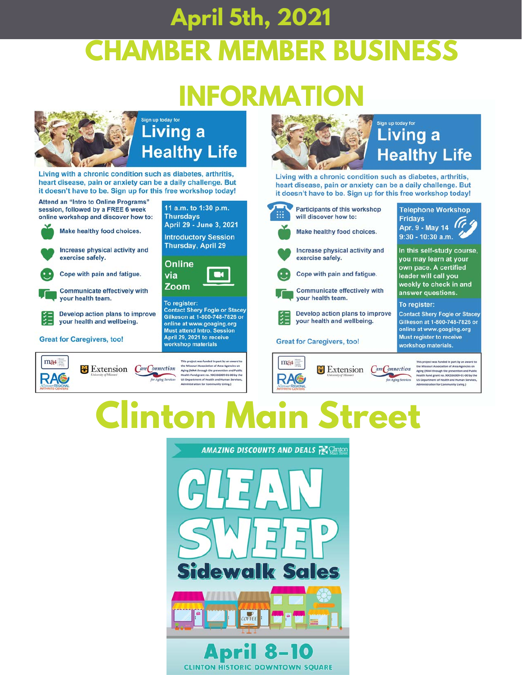## **April 5th, 2021 CHAMBER MEMBER BUSINESS**

# **INFORMAT**



Living with a chronic condition such as diabetes, arthritis, heart disease, pain or anxiety can be a daily challenge. But it doesn't have to be. Sign up for this free workshop today!



Develop action plans to improve your health and wellbeing.

**X** Extension

**Great for Caregivers, too!** 

 $ma4 =$ 

**RAG** 



This project was funded in part by an award to<br>the Missouri Association of Area Agencies on<br>Aging (MAA through the prevention and Public<br>Health Fund grant no. 90CSSG099-01-00 by the<br>US Department of Health and Human Servic Care Connection for Aging Services

inistration for Community Living.)



### **Living a Healthy Life**

Living with a chronic condition such as diabetes, arthritis, heart disease, pain or anxiety can be a daily challenge. But it doesn't have to be. Sign up for this free workshop today!

Extension CareConnection

Aging Services



#### **Great for Caregivers, too!**

 $ma4 =$ 

**RAG** 



To register: **Contact Shery Fogle or Stacey** 

Gilkeson at 1-800-748-7826 or online at www.goaging.org Must register to receive workshop materials.

> is project was funded in part by an award to This project was funded in part by an award the<br>the Missouri Association of Area Agencies on<br>Aging (MAA through the prevention and Publi<br>Health Fund grant no. 90CSSG009-03-00 by th<br>US Department of Health and Human Service

### linton l **Street**